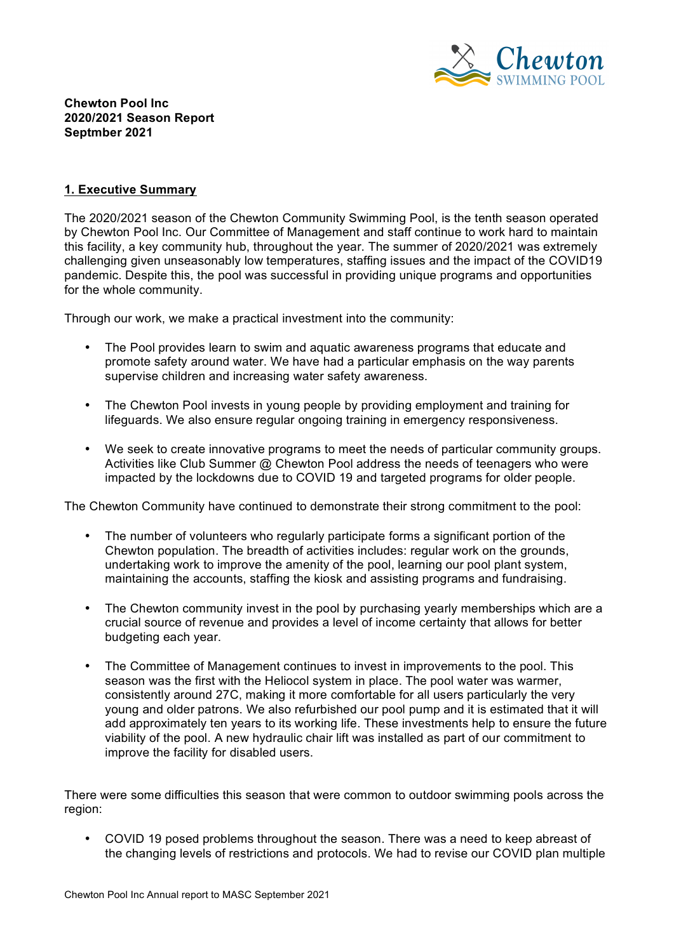

### **Chewton Pool Inc 2020/2021 Season Report Septmber 2021**

#### **1. Executive Summary**

The 2020/2021 season of the Chewton Community Swimming Pool, is the tenth season operated by Chewton Pool Inc. Our Committee of Management and staff continue to work hard to maintain this facility, a key community hub, throughout the year. The summer of 2020/2021 was extremely challenging given unseasonably low temperatures, staffing issues and the impact of the COVID19 pandemic. Despite this, the pool was successful in providing unique programs and opportunities for the whole community.

Through our work, we make a practical investment into the community:

- The Pool provides learn to swim and aquatic awareness programs that educate and promote safety around water. We have had a particular emphasis on the way parents supervise children and increasing water safety awareness.
- The Chewton Pool invests in young people by providing employment and training for lifeguards. We also ensure regular ongoing training in emergency responsiveness.
- We seek to create innovative programs to meet the needs of particular community groups. Activities like Club Summer @ Chewton Pool address the needs of teenagers who were impacted by the lockdowns due to COVID 19 and targeted programs for older people.

The Chewton Community have continued to demonstrate their strong commitment to the pool:

- The number of volunteers who regularly participate forms a significant portion of the Chewton population. The breadth of activities includes: regular work on the grounds, undertaking work to improve the amenity of the pool, learning our pool plant system, maintaining the accounts, staffing the kiosk and assisting programs and fundraising.
- The Chewton community invest in the pool by purchasing yearly memberships which are a crucial source of revenue and provides a level of income certainty that allows for better budgeting each year.
- The Committee of Management continues to invest in improvements to the pool. This season was the first with the Heliocol system in place. The pool water was warmer, consistently around 27C, making it more comfortable for all users particularly the very young and older patrons. We also refurbished our pool pump and it is estimated that it will add approximately ten years to its working life. These investments help to ensure the future viability of the pool. A new hydraulic chair lift was installed as part of our commitment to improve the facility for disabled users.

There were some difficulties this season that were common to outdoor swimming pools across the region:

• COVID 19 posed problems throughout the season. There was a need to keep abreast of the changing levels of restrictions and protocols. We had to revise our COVID plan multiple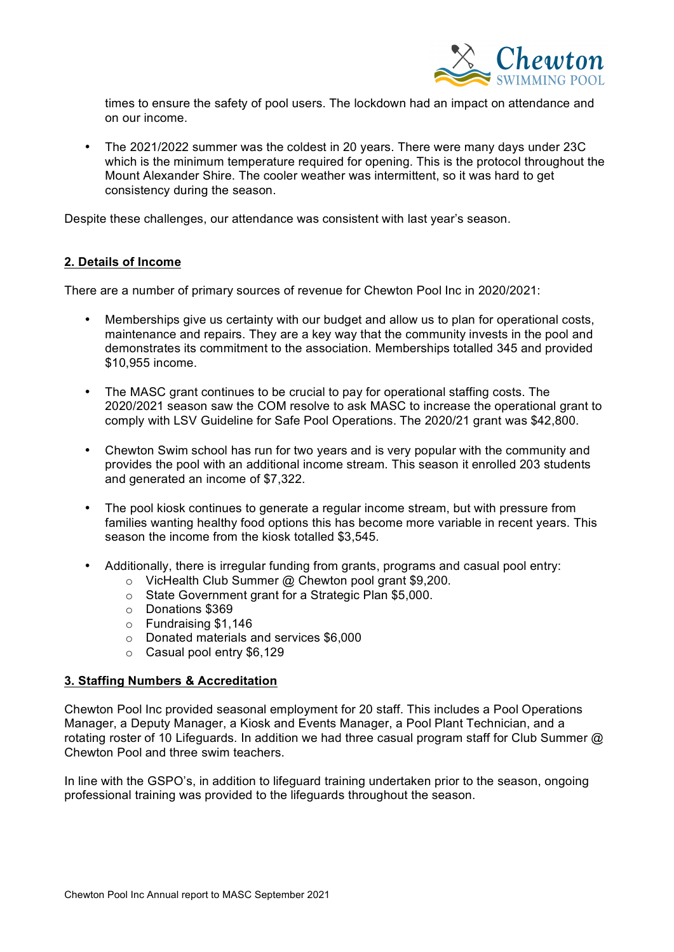

times to ensure the safety of pool users. The lockdown had an impact on attendance and on our income.

• The 2021/2022 summer was the coldest in 20 years. There were many days under 23C which is the minimum temperature required for opening. This is the protocol throughout the Mount Alexander Shire. The cooler weather was intermittent, so it was hard to get consistency during the season.

Despite these challenges, our attendance was consistent with last year's season.

## **2. Details of Income**

There are a number of primary sources of revenue for Chewton Pool Inc in 2020/2021:

- Memberships give us certainty with our budget and allow us to plan for operational costs, maintenance and repairs. They are a key way that the community invests in the pool and demonstrates its commitment to the association. Memberships totalled 345 and provided \$10,955 income.
- The MASC grant continues to be crucial to pay for operational staffing costs. The 2020/2021 season saw the COM resolve to ask MASC to increase the operational grant to comply with LSV Guideline for Safe Pool Operations. The 2020/21 grant was \$42,800.
- Chewton Swim school has run for two years and is very popular with the community and provides the pool with an additional income stream. This season it enrolled 203 students and generated an income of \$7,322.
- The pool kiosk continues to generate a regular income stream, but with pressure from families wanting healthy food options this has become more variable in recent years. This season the income from the kiosk totalled \$3,545.
- Additionally, there is irregular funding from grants, programs and casual pool entry:
	- o VicHealth Club Summer @ Chewton pool grant \$9,200.
	- o State Government grant for a Strategic Plan \$5,000.
	- o Donations \$369
	- o Fundraising \$1,146
	- o Donated materials and services \$6,000
	- o Casual pool entry \$6,129

#### **3. Staffing Numbers & Accreditation**

Chewton Pool Inc provided seasonal employment for 20 staff. This includes a Pool Operations Manager, a Deputy Manager, a Kiosk and Events Manager, a Pool Plant Technician, and a rotating roster of 10 Lifeguards. In addition we had three casual program staff for Club Summer @ Chewton Pool and three swim teachers.

In line with the GSPO's, in addition to lifeguard training undertaken prior to the season, ongoing professional training was provided to the lifeguards throughout the season.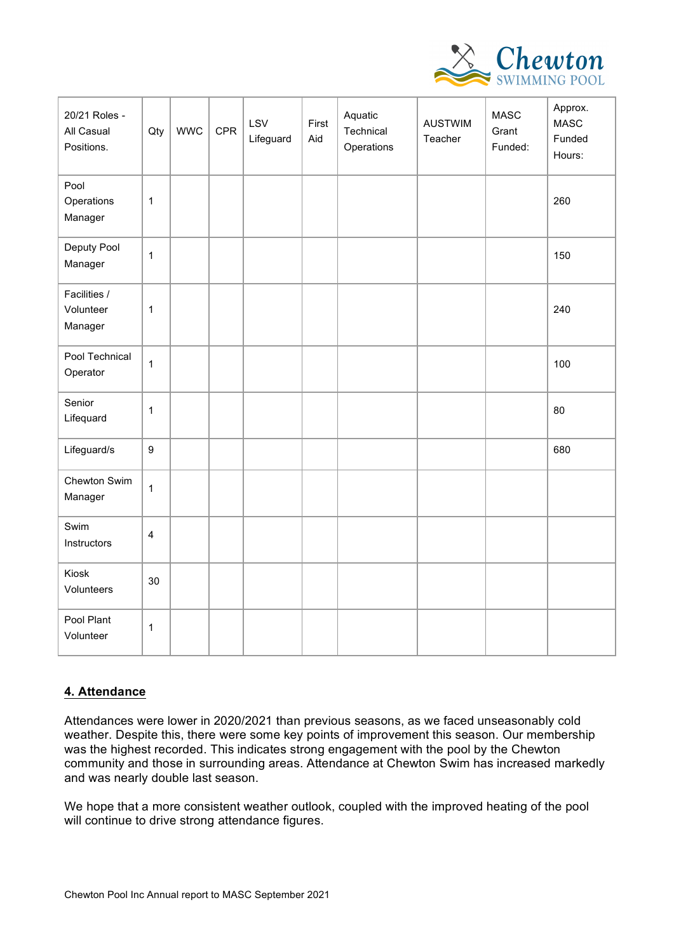

| 20/21 Roles -<br>All Casual<br>Positions. | Qty                     | <b>WWC</b> | <b>CPR</b> | LSV<br>Lifeguard | First<br>Aid | Aquatic<br>Technical<br>Operations | <b>AUSTWIM</b><br>Teacher | <b>MASC</b><br>Grant<br>Funded: | Approx.<br><b>MASC</b><br>Funded<br>Hours: |
|-------------------------------------------|-------------------------|------------|------------|------------------|--------------|------------------------------------|---------------------------|---------------------------------|--------------------------------------------|
| Pool<br>Operations<br>Manager             | $\mathbf{1}$            |            |            |                  |              |                                    |                           |                                 | 260                                        |
| Deputy Pool<br>Manager                    | $\mathbf{1}$            |            |            |                  |              |                                    |                           |                                 | 150                                        |
| Facilities /<br>Volunteer<br>Manager      | $\mathbf{1}$            |            |            |                  |              |                                    |                           |                                 | 240                                        |
| Pool Technical<br>Operator                | $\mathbf{1}$            |            |            |                  |              |                                    |                           |                                 | 100                                        |
| Senior<br>Lifequard                       | $\mathbf{1}$            |            |            |                  |              |                                    |                           |                                 | 80                                         |
| Lifeguard/s                               | $\boldsymbol{9}$        |            |            |                  |              |                                    |                           |                                 | 680                                        |
| Chewton Swim<br>Manager                   | $\mathbf{1}$            |            |            |                  |              |                                    |                           |                                 |                                            |
| Swim<br>Instructors                       | $\overline{\mathbf{4}}$ |            |            |                  |              |                                    |                           |                                 |                                            |
| Kiosk<br>Volunteers                       | 30                      |            |            |                  |              |                                    |                           |                                 |                                            |
| Pool Plant<br>Volunteer                   | $\mathbf 1$             |            |            |                  |              |                                    |                           |                                 |                                            |

# **4. Attendance**

Attendances were lower in 2020/2021 than previous seasons, as we faced unseasonably cold weather. Despite this, there were some key points of improvement this season. Our membership was the highest recorded. This indicates strong engagement with the pool by the Chewton community and those in surrounding areas. Attendance at Chewton Swim has increased markedly and was nearly double last season.

We hope that a more consistent weather outlook, coupled with the improved heating of the pool will continue to drive strong attendance figures.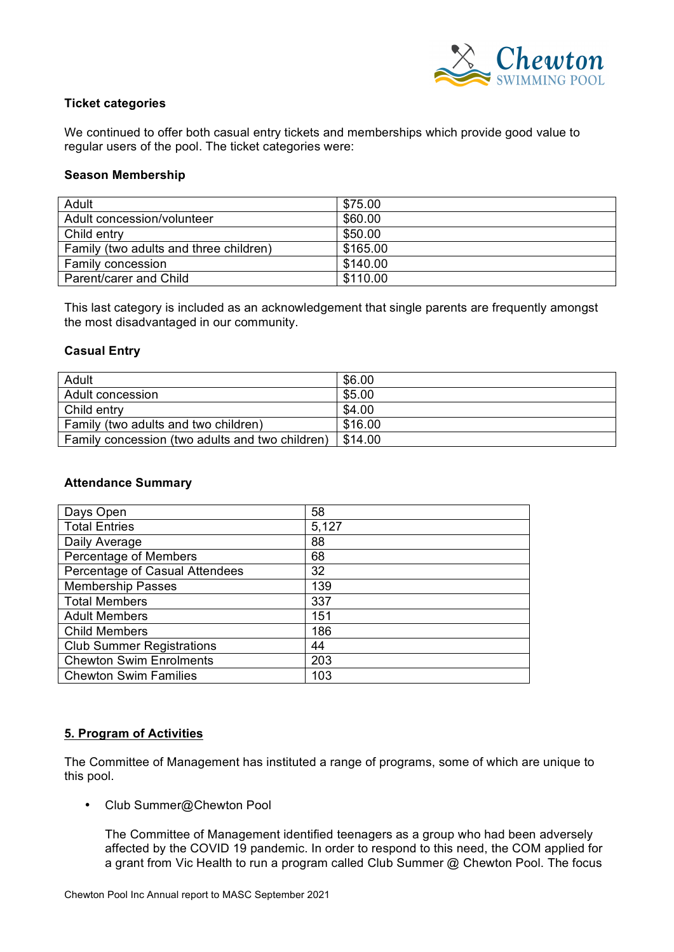

### **Ticket categories**

We continued to offer both casual entry tickets and memberships which provide good value to regular users of the pool. The ticket categories were:

#### **Season Membership**

| Adult                                  | \$75.00  |
|----------------------------------------|----------|
| Adult concession/volunteer             | \$60.00  |
| Child entry                            | \$50.00  |
| Family (two adults and three children) | \$165.00 |
| Family concession                      | \$140.00 |
| Parent/carer and Child                 | \$110.00 |

This last category is included as an acknowledgement that single parents are frequently amongst the most disadvantaged in our community.

#### **Casual Entry**

| Adult                                           | \$6.00  |
|-------------------------------------------------|---------|
| Adult concession                                | \$5.00  |
| Child entry                                     | \$4.00  |
| Family (two adults and two children)            | \$16.00 |
| Family concession (two adults and two children) | \$14.00 |

#### **Attendance Summary**

| Days Open                        | 58    |
|----------------------------------|-------|
| <b>Total Entries</b>             | 5,127 |
| Daily Average                    | 88    |
| <b>Percentage of Members</b>     | 68    |
| Percentage of Casual Attendees   | 32    |
| <b>Membership Passes</b>         | 139   |
| <b>Total Members</b>             | 337   |
| <b>Adult Members</b>             | 151   |
| <b>Child Members</b>             | 186   |
| <b>Club Summer Registrations</b> | 44    |
| <b>Chewton Swim Enrolments</b>   | 203   |
| <b>Chewton Swim Families</b>     | 103   |

#### **5. Program of Activities**

The Committee of Management has instituted a range of programs, some of which are unique to this pool.

• Club Summer@Chewton Pool

The Committee of Management identified teenagers as a group who had been adversely affected by the COVID 19 pandemic. In order to respond to this need, the COM applied for a grant from Vic Health to run a program called Club Summer @ Chewton Pool. The focus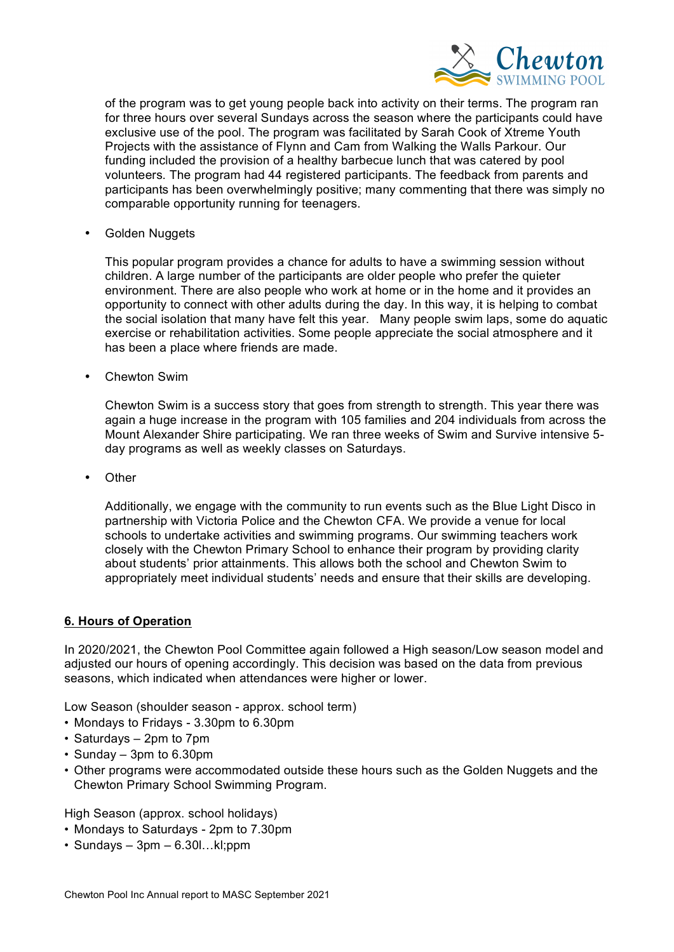

of the program was to get young people back into activity on their terms. The program ran for three hours over several Sundays across the season where the participants could have exclusive use of the pool. The program was facilitated by Sarah Cook of Xtreme Youth Projects with the assistance of Flynn and Cam from Walking the Walls Parkour. Our funding included the provision of a healthy barbecue lunch that was catered by pool volunteers. The program had 44 registered participants. The feedback from parents and participants has been overwhelmingly positive; many commenting that there was simply no comparable opportunity running for teenagers.

• Golden Nuggets

This popular program provides a chance for adults to have a swimming session without children. A large number of the participants are older people who prefer the quieter environment. There are also people who work at home or in the home and it provides an opportunity to connect with other adults during the day. In this way, it is helping to combat the social isolation that many have felt this year. Many people swim laps, some do aquatic exercise or rehabilitation activities. Some people appreciate the social atmosphere and it has been a place where friends are made.

• Chewton Swim

Chewton Swim is a success story that goes from strength to strength. This year there was again a huge increase in the program with 105 families and 204 individuals from across the Mount Alexander Shire participating. We ran three weeks of Swim and Survive intensive 5 day programs as well as weekly classes on Saturdays.

• Other

Additionally, we engage with the community to run events such as the Blue Light Disco in partnership with Victoria Police and the Chewton CFA. We provide a venue for local schools to undertake activities and swimming programs. Our swimming teachers work closely with the Chewton Primary School to enhance their program by providing clarity about students' prior attainments. This allows both the school and Chewton Swim to appropriately meet individual students' needs and ensure that their skills are developing.

## **6. Hours of Operation**

In 2020/2021, the Chewton Pool Committee again followed a High season/Low season model and adjusted our hours of opening accordingly. This decision was based on the data from previous seasons, which indicated when attendances were higher or lower.

Low Season (shoulder season - approx. school term)

- Mondays to Fridays 3.30pm to 6.30pm
- Saturdays 2pm to 7pm
- Sunday 3pm to 6.30pm
- Other programs were accommodated outside these hours such as the Golden Nuggets and the Chewton Primary School Swimming Program.

High Season (approx. school holidays)

- Mondays to Saturdays 2pm to 7.30pm
- $\cdot$  Sundays 3pm 6.30l...kl;ppm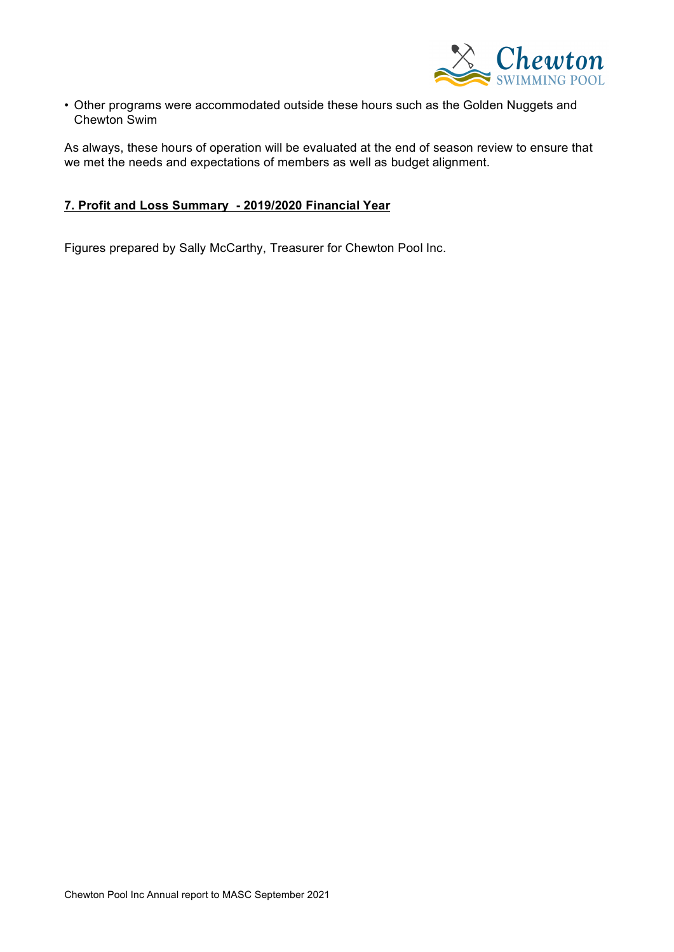

• Other programs were accommodated outside these hours such as the Golden Nuggets and Chewton Swim

As always, these hours of operation will be evaluated at the end of season review to ensure that we met the needs and expectations of members as well as budget alignment.

# **7. Profit and Loss Summary - 2019/2020 Financial Year**

Figures prepared by Sally McCarthy, Treasurer for Chewton Pool Inc.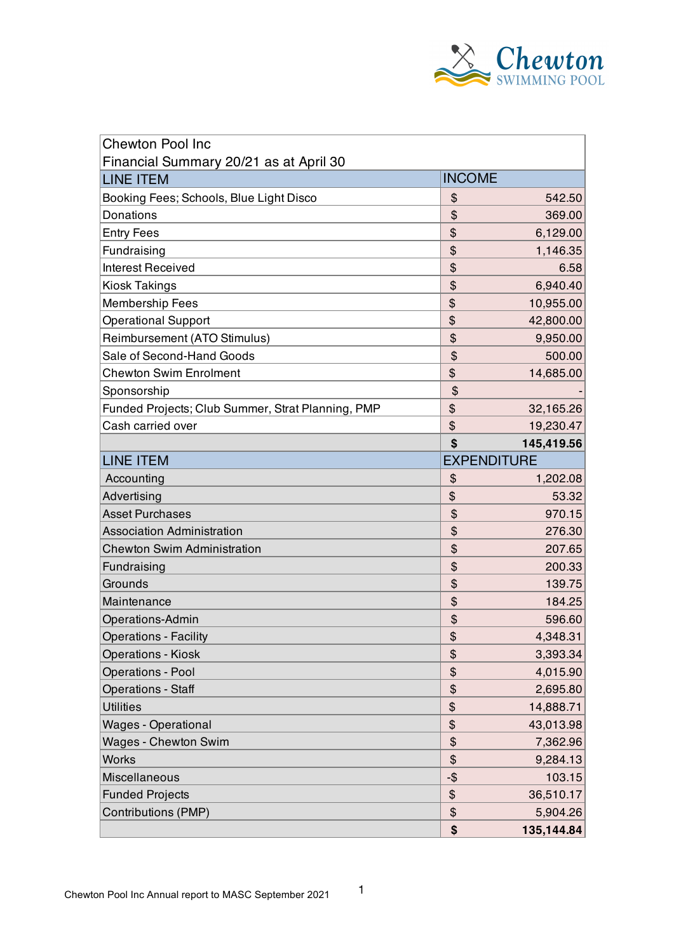

| <b>Chewton Pool Inc</b>                           |                    |            |
|---------------------------------------------------|--------------------|------------|
| Financial Summary 20/21 as at April 30            |                    |            |
| <b>LINE ITEM</b>                                  | <b>INCOME</b>      |            |
| Booking Fees; Schools, Blue Light Disco           | \$                 | 542.50     |
| Donations                                         | \$                 | 369.00     |
| <b>Entry Fees</b>                                 | \$                 | 6,129.00   |
| Fundraising                                       | \$                 | 1,146.35   |
| <b>Interest Received</b>                          | \$                 | 6.58       |
| <b>Kiosk Takings</b>                              | \$                 | 6,940.40   |
| <b>Membership Fees</b>                            | \$                 | 10,955.00  |
| <b>Operational Support</b>                        | \$                 | 42,800.00  |
| Reimbursement (ATO Stimulus)                      | \$                 | 9,950.00   |
| Sale of Second-Hand Goods                         | \$                 | 500.00     |
| <b>Chewton Swim Enrolment</b>                     | \$                 | 14,685.00  |
| Sponsorship                                       | \$                 |            |
| Funded Projects; Club Summer, Strat Planning, PMP | \$                 | 32,165.26  |
| Cash carried over                                 | \$                 | 19,230.47  |
|                                                   | \$                 | 145,419.56 |
| <b>LINE ITEM</b>                                  | <b>EXPENDITURE</b> |            |
| Accounting                                        | \$                 | 1,202.08   |
| Advertising                                       | \$                 | 53.32      |
| <b>Asset Purchases</b>                            | \$                 | 970.15     |
| <b>Association Administration</b>                 | \$                 | 276.30     |
| <b>Chewton Swim Administration</b>                | \$                 | 207.65     |
| Fundraising                                       | \$                 | 200.33     |
| Grounds                                           | \$                 | 139.75     |
| Maintenance                                       | \$                 | 184.25     |
| Operations-Admin                                  | \$                 | 596.60     |
| <b>Operations - Facility</b>                      | \$                 | 4,348.31   |
| <b>Operations - Kiosk</b>                         | \$                 | 3,393.34   |
| <b>Operations - Pool</b>                          | \$                 | 4,015.90   |
| <b>Operations - Staff</b>                         | \$                 | 2,695.80   |
| <b>Utilities</b>                                  | \$                 | 14,888.71  |
| <b>Wages - Operational</b>                        | \$                 | 43,013.98  |
| <b>Wages - Chewton Swim</b>                       | \$                 | 7,362.96   |
| <b>Works</b>                                      | \$                 | 9,284.13   |
| Miscellaneous                                     | -\$                | 103.15     |
| <b>Funded Projects</b>                            | \$                 | 36,510.17  |
| Contributions (PMP)                               | \$                 | 5,904.26   |
|                                                   | \$                 | 135,144.84 |